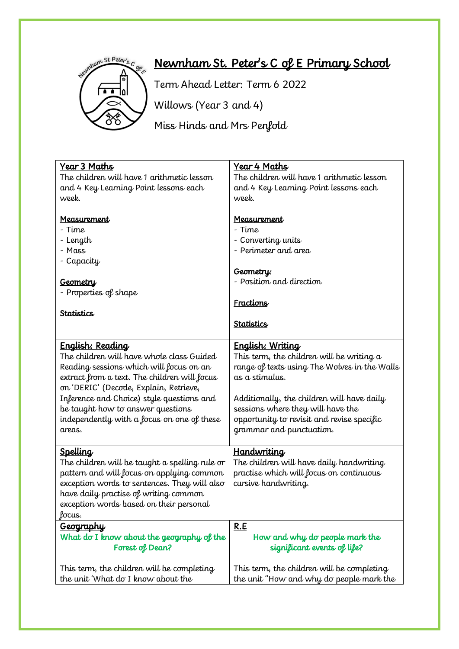

## Newnham St. Peter's C of E Primary School

Term Ahead Letter: Term 6 2022

Willows (Year 3 and 4)

Miss Hinds and Mrs Penfold

| <u>Year 3 Maths</u>                            | Year 4 Maths                                 |
|------------------------------------------------|----------------------------------------------|
| The children will have 1 arithmetic lesson     | The children will have 1 arithmetic lesson   |
| and 4 Key Learning Point lessons each          | and 4 Key Learning Point lessons each        |
| week.                                          | week.                                        |
|                                                |                                              |
| Measurement                                    | Measurement                                  |
| - Time                                         | - Time                                       |
| - Length                                       | - Converting units                           |
| - Mass                                         | - Perimeter and area                         |
| - Capacity                                     |                                              |
|                                                | <u>Geometry:</u>                             |
| <b>Geometry</b>                                | - Position and direction                     |
| - Properties of shape                          |                                              |
|                                                | Fractions                                    |
| <u>Statistics</u>                              |                                              |
|                                                | <b>Statistics</b>                            |
|                                                |                                              |
| <u> English: Reading</u>                       | English: Writing                             |
| The children will have whole class Guided      | This term, the children will be writing $a$  |
| Reading sessions which will focus on an        | range of texts using The Wolves in the Walls |
| extract from a text. The children will focus   | as a stimulus.                               |
| on 'DERIC' (Decode, Explain, Retrieve,         |                                              |
| Inference and Choice) style questions and      | Additionally, the children will have daily   |
| be taught how to answer questions              | sessions where they will have the            |
| independently with a focus on one of these     | opportunity to revisit and revise specific   |
| areas.                                         | grammar and punctuation.                     |
|                                                |                                              |
| <u>Spelling</u>                                | <u>Handwriting</u>                           |
| The children will be taught a spelling rule or | The children will have daily handwriting     |
| pattern and will focus on applying common      | practise which will focus on continuous      |
| exception words to sentences. They will also   | cursive handwriting.                         |
| have daily practise of writing common          |                                              |
| exception words based on their personal        |                                              |
| focus.                                         |                                              |
| <u>Geography</u>                               | R.E                                          |
| What do I know about the geography of the      | How and why do people mark the               |
| Forest of Dean?                                | significant events of life?                  |
|                                                |                                              |
| This term, the children will be completing     | This term, the children will be completing   |
| the unit 'What do I know about the             | the unit "How and why do people mark the     |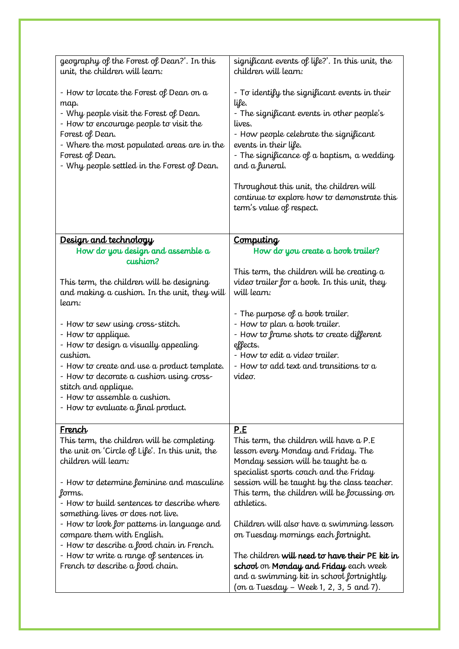| geography of the Forest of Dean?'. In this<br>unit, the children will learn:                                                                                                                                                                                              | significant events of life?'. In this unit, the<br>children will learn:                                                                                                                                                                                                                                                                                                 |
|---------------------------------------------------------------------------------------------------------------------------------------------------------------------------------------------------------------------------------------------------------------------------|-------------------------------------------------------------------------------------------------------------------------------------------------------------------------------------------------------------------------------------------------------------------------------------------------------------------------------------------------------------------------|
| - How to locate the Forest of Dean on $a$<br>map.<br>- Why people visit the Forest of Dean.<br>- How to encourage people to visit the<br>Forest of Dean.<br>- Where the most populated areas are in the<br>Forest of Dean.<br>- Why people settled in the Forest of Dean. | - To identify the significant events in their<br>life.<br>- The significant events in other people's<br>lives.<br>- How people celebrate the significant<br>events in their life.<br>- The significance of a baptism, a wedding<br>and a funeral.<br>Throughout this unit, the children will<br>continue to explore how to demonstrate this<br>term's value of respect. |
| Design and technology                                                                                                                                                                                                                                                     | <b>Computing</b>                                                                                                                                                                                                                                                                                                                                                        |
| How do you design and assemble a<br>cushion?                                                                                                                                                                                                                              | How do you create a book trailer?                                                                                                                                                                                                                                                                                                                                       |
| This term, the children will be designing<br>and making a cushion. In the unit, they will<br>learn:                                                                                                                                                                       | This term, the children will be creating a<br>video trailer for a book. In this unit, they<br>will learn:                                                                                                                                                                                                                                                               |
|                                                                                                                                                                                                                                                                           | - The purpose of a book trailer.                                                                                                                                                                                                                                                                                                                                        |
| - How to sew using cross-stitch.<br>- How to applique.                                                                                                                                                                                                                    | - How to plan a book trailer.<br>- How to frame shots to create different                                                                                                                                                                                                                                                                                               |
| - How to design a visually appealing                                                                                                                                                                                                                                      | effects.                                                                                                                                                                                                                                                                                                                                                                |
| cushion.<br>- How to create and use a product template.                                                                                                                                                                                                                   | - How to edit a video trailer.<br>- How to add text and transitions to a                                                                                                                                                                                                                                                                                                |
| - How to decorate a cushion using cross-                                                                                                                                                                                                                                  | video.                                                                                                                                                                                                                                                                                                                                                                  |
| stitch and applique.                                                                                                                                                                                                                                                      |                                                                                                                                                                                                                                                                                                                                                                         |
| - How to assemble a cushion.<br>- How to evaluate a final product.                                                                                                                                                                                                        |                                                                                                                                                                                                                                                                                                                                                                         |
|                                                                                                                                                                                                                                                                           |                                                                                                                                                                                                                                                                                                                                                                         |
| <u>French</u>                                                                                                                                                                                                                                                             | <u>P.E</u>                                                                                                                                                                                                                                                                                                                                                              |
| This term, the children will be completing<br>the unit on 'Circle of Life'. In this unit, the                                                                                                                                                                             | This term, the children will have a P.E<br>lesson every Monday and Friday. The                                                                                                                                                                                                                                                                                          |
| children will learn:                                                                                                                                                                                                                                                      | Monday session will be taught be a                                                                                                                                                                                                                                                                                                                                      |
|                                                                                                                                                                                                                                                                           | specialist sports coach and the Friday                                                                                                                                                                                                                                                                                                                                  |
| - How to determine feminine and masculine                                                                                                                                                                                                                                 | session will be taught by the class teacher.                                                                                                                                                                                                                                                                                                                            |
| forms.<br>- How to build sentences to describe where                                                                                                                                                                                                                      | This term, the children will be focussing on<br>athletics.                                                                                                                                                                                                                                                                                                              |
| something lives or does not live.                                                                                                                                                                                                                                         |                                                                                                                                                                                                                                                                                                                                                                         |
| - How to look for patterns in language and                                                                                                                                                                                                                                | Children will also have a swimming lesson                                                                                                                                                                                                                                                                                                                               |
| compare them with English.                                                                                                                                                                                                                                                | on Tuesday mornings each fortnight.                                                                                                                                                                                                                                                                                                                                     |
| - How to describe a food chain in French.<br>- How to write a range of sentences in                                                                                                                                                                                       | The children <b>will need to have their PE kit in</b>                                                                                                                                                                                                                                                                                                                   |
| French to describe a food chain.                                                                                                                                                                                                                                          | school on Monday and Friday each week                                                                                                                                                                                                                                                                                                                                   |
|                                                                                                                                                                                                                                                                           | and a swimming kit in school fortnightly                                                                                                                                                                                                                                                                                                                                |
|                                                                                                                                                                                                                                                                           | (on a Tuesday – Week 1, 2, 3, 5 and 7).                                                                                                                                                                                                                                                                                                                                 |